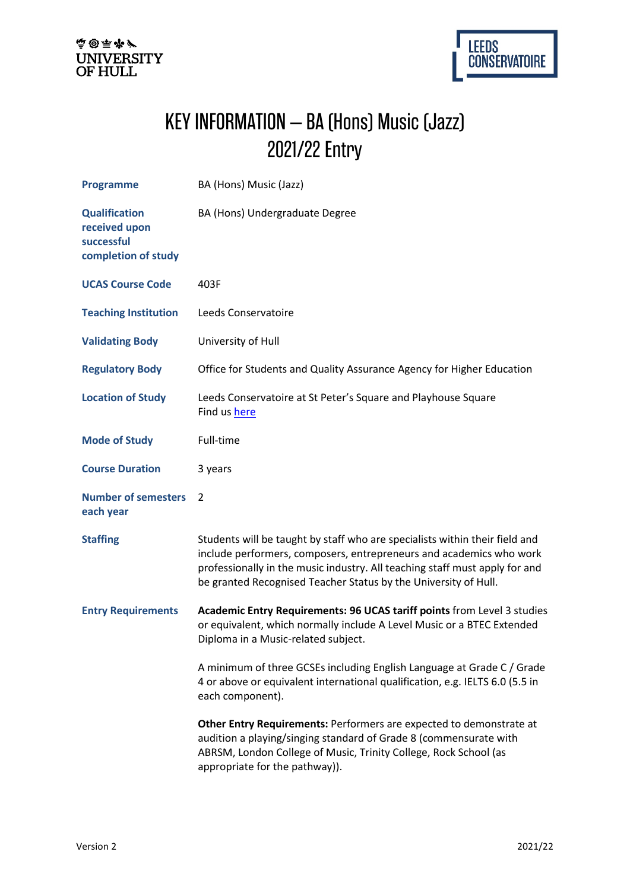



## KEY INFORMATION – BA (Hons) Music (Jazz) 2021/22 Entry

| <b>Programme</b>                                                           | BA (Hons) Music (Jazz)                                                                                                                                                                                                                                                                               |
|----------------------------------------------------------------------------|------------------------------------------------------------------------------------------------------------------------------------------------------------------------------------------------------------------------------------------------------------------------------------------------------|
| <b>Qualification</b><br>received upon<br>successful<br>completion of study | BA (Hons) Undergraduate Degree                                                                                                                                                                                                                                                                       |
| <b>UCAS Course Code</b>                                                    | 403F                                                                                                                                                                                                                                                                                                 |
| <b>Teaching Institution</b>                                                | Leeds Conservatoire                                                                                                                                                                                                                                                                                  |
| <b>Validating Body</b>                                                     | University of Hull                                                                                                                                                                                                                                                                                   |
| <b>Regulatory Body</b>                                                     | Office for Students and Quality Assurance Agency for Higher Education                                                                                                                                                                                                                                |
| <b>Location of Study</b>                                                   | Leeds Conservatoire at St Peter's Square and Playhouse Square<br>Find us here                                                                                                                                                                                                                        |
| <b>Mode of Study</b>                                                       | Full-time                                                                                                                                                                                                                                                                                            |
| <b>Course Duration</b>                                                     | 3 years                                                                                                                                                                                                                                                                                              |
| <b>Number of semesters</b><br>each year                                    | $\mathcal{L}$                                                                                                                                                                                                                                                                                        |
| <b>Staffing</b>                                                            | Students will be taught by staff who are specialists within their field and<br>include performers, composers, entrepreneurs and academics who work<br>professionally in the music industry. All teaching staff must apply for and<br>be granted Recognised Teacher Status by the University of Hull. |
| <b>Entry Requirements</b>                                                  | Academic Entry Requirements: 96 UCAS tariff points from Level 3 studies<br>or equivalent, which normally include A Level Music or a BTEC Extended<br>Diploma in a Music-related subject.                                                                                                             |
|                                                                            | A minimum of three GCSEs including English Language at Grade C / Grade<br>4 or above or equivalent international qualification, e.g. IELTS 6.0 (5.5 in<br>each component).                                                                                                                           |
|                                                                            | Other Entry Requirements: Performers are expected to demonstrate at<br>audition a playing/singing standard of Grade 8 (commensurate with<br>ABRSM, London College of Music, Trinity College, Rock School (as<br>appropriate for the pathway)).                                                       |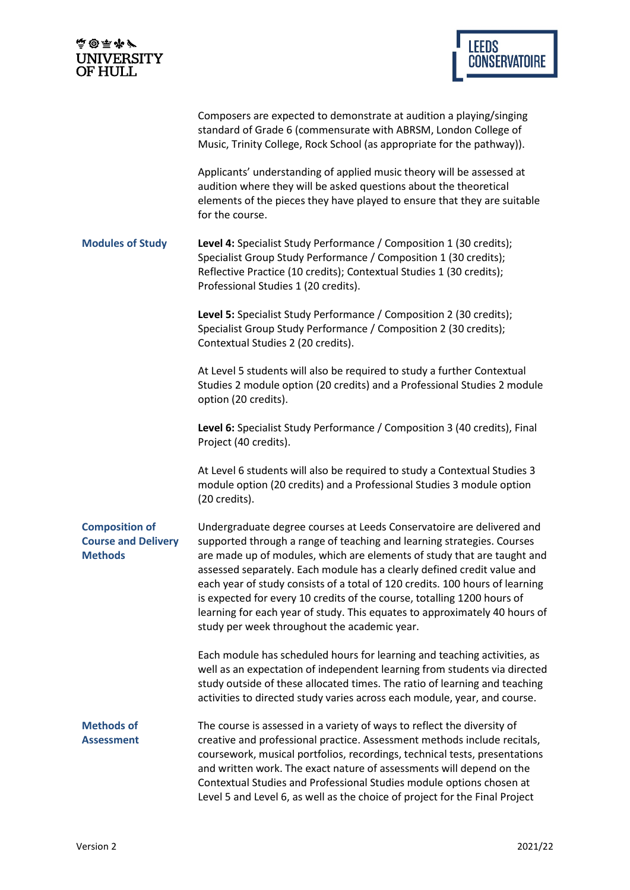| 高田雨ダ<br><b>UNIVERSITY</b><br>OF HULL                                  | <b>LEEDS</b><br><b>CONSERVATOIRE</b>                                                                                                                                                                                                                                                                                                                                                                                                                                                                                                                                                           |  |
|-----------------------------------------------------------------------|------------------------------------------------------------------------------------------------------------------------------------------------------------------------------------------------------------------------------------------------------------------------------------------------------------------------------------------------------------------------------------------------------------------------------------------------------------------------------------------------------------------------------------------------------------------------------------------------|--|
|                                                                       |                                                                                                                                                                                                                                                                                                                                                                                                                                                                                                                                                                                                |  |
|                                                                       | Composers are expected to demonstrate at audition a playing/singing<br>standard of Grade 6 (commensurate with ABRSM, London College of<br>Music, Trinity College, Rock School (as appropriate for the pathway)).                                                                                                                                                                                                                                                                                                                                                                               |  |
|                                                                       | Applicants' understanding of applied music theory will be assessed at<br>audition where they will be asked questions about the theoretical<br>elements of the pieces they have played to ensure that they are suitable<br>for the course.                                                                                                                                                                                                                                                                                                                                                      |  |
| <b>Modules of Study</b>                                               | Level 4: Specialist Study Performance / Composition 1 (30 credits);<br>Specialist Group Study Performance / Composition 1 (30 credits);<br>Reflective Practice (10 credits); Contextual Studies 1 (30 credits);<br>Professional Studies 1 (20 credits).                                                                                                                                                                                                                                                                                                                                        |  |
|                                                                       | Level 5: Specialist Study Performance / Composition 2 (30 credits);<br>Specialist Group Study Performance / Composition 2 (30 credits);<br>Contextual Studies 2 (20 credits).                                                                                                                                                                                                                                                                                                                                                                                                                  |  |
|                                                                       | At Level 5 students will also be required to study a further Contextual<br>Studies 2 module option (20 credits) and a Professional Studies 2 module<br>option (20 credits).                                                                                                                                                                                                                                                                                                                                                                                                                    |  |
|                                                                       | Level 6: Specialist Study Performance / Composition 3 (40 credits), Final<br>Project (40 credits).                                                                                                                                                                                                                                                                                                                                                                                                                                                                                             |  |
|                                                                       | At Level 6 students will also be required to study a Contextual Studies 3<br>module option (20 credits) and a Professional Studies 3 module option<br>(20 credits).                                                                                                                                                                                                                                                                                                                                                                                                                            |  |
| <b>Composition of</b><br><b>Course and Delivery</b><br><b>Methods</b> | Undergraduate degree courses at Leeds Conservatoire are delivered and<br>supported through a range of teaching and learning strategies. Courses<br>are made up of modules, which are elements of study that are taught and<br>assessed separately. Each module has a clearly defined credit value and<br>each year of study consists of a total of 120 credits. 100 hours of learning<br>is expected for every 10 credits of the course, totalling 1200 hours of<br>learning for each year of study. This equates to approximately 40 hours of<br>study per week throughout the academic year. |  |
|                                                                       | Each module has scheduled hours for learning and teaching activities, as<br>well as an expectation of independent learning from students via directed<br>study outside of these allocated times. The ratio of learning and teaching<br>activities to directed study varies across each module, year, and course.                                                                                                                                                                                                                                                                               |  |
| <b>Methods of</b><br><b>Assessment</b>                                | The course is assessed in a variety of ways to reflect the diversity of<br>creative and professional practice. Assessment methods include recitals,<br>coursework, musical portfolios, recordings, technical tests, presentations<br>and written work. The exact nature of assessments will depend on the<br>Contextual Studies and Professional Studies module options chosen at                                                                                                                                                                                                              |  |

Level 5 and Level 6, as well as the choice of project for the Final Project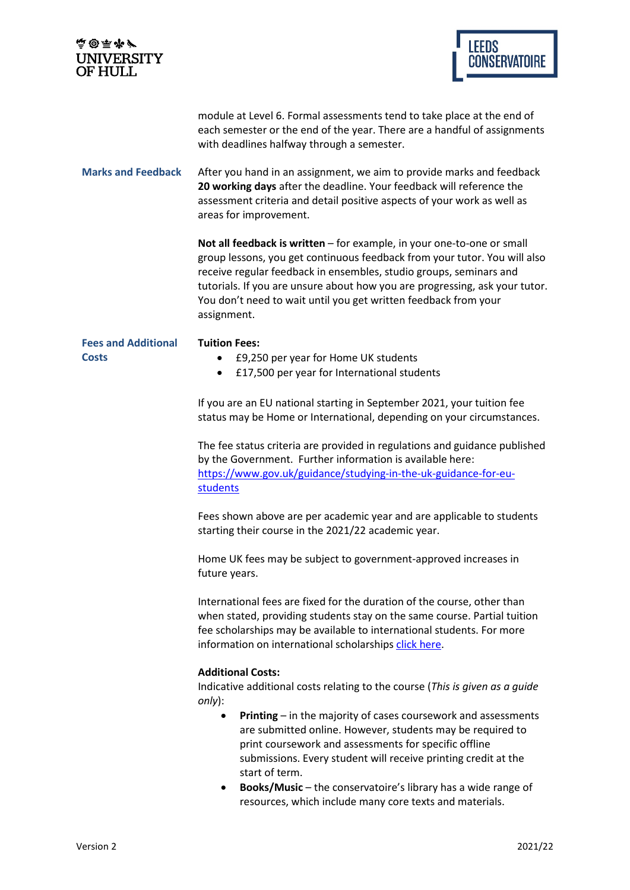| <b>LEEDS</b><br><b>CONSERVATOIRE</b>                                                                                                                                                                                                                                                                                                                                                                                                                                                                                                     |
|------------------------------------------------------------------------------------------------------------------------------------------------------------------------------------------------------------------------------------------------------------------------------------------------------------------------------------------------------------------------------------------------------------------------------------------------------------------------------------------------------------------------------------------|
| module at Level 6. Formal assessments tend to take place at the end of<br>each semester or the end of the year. There are a handful of assignments<br>with deadlines halfway through a semester.                                                                                                                                                                                                                                                                                                                                         |
| After you hand in an assignment, we aim to provide marks and feedback<br>20 working days after the deadline. Your feedback will reference the<br>assessment criteria and detail positive aspects of your work as well as<br>areas for improvement.                                                                                                                                                                                                                                                                                       |
| Not all feedback is written - for example, in your one-to-one or small<br>group lessons, you get continuous feedback from your tutor. You will also<br>receive regular feedback in ensembles, studio groups, seminars and<br>tutorials. If you are unsure about how you are progressing, ask your tutor.<br>You don't need to wait until you get written feedback from your<br>assignment.                                                                                                                                               |
| <b>Tuition Fees:</b><br>£9,250 per year for Home UK students<br>£17,500 per year for International students                                                                                                                                                                                                                                                                                                                                                                                                                              |
| If you are an EU national starting in September 2021, your tuition fee<br>status may be Home or International, depending on your circumstances.                                                                                                                                                                                                                                                                                                                                                                                          |
| The fee status criteria are provided in regulations and guidance published<br>by the Government. Further information is available here:<br>https://www.gov.uk/guidance/studying-in-the-uk-guidance-for-eu-<br>students                                                                                                                                                                                                                                                                                                                   |
| Fees shown above are per academic year and are applicable to students<br>starting their course in the 2021/22 academic year.                                                                                                                                                                                                                                                                                                                                                                                                             |
| Home UK fees may be subject to government-approved increases in<br>future years.                                                                                                                                                                                                                                                                                                                                                                                                                                                         |
| International fees are fixed for the duration of the course, other than<br>when stated, providing students stay on the same course. Partial tuition<br>fee scholarships may be available to international students. For more<br>information on international scholarships click here.                                                                                                                                                                                                                                                    |
| <b>Additional Costs:</b><br>Indicative additional costs relating to the course (This is given as a guide<br>only):<br>Printing - in the majority of cases coursework and assessments<br>are submitted online. However, students may be required to<br>print coursework and assessments for specific offline<br>submissions. Every student will receive printing credit at the<br>start of term.<br>Books/Music - the conservatoire's library has a wide range of<br>$\bullet$<br>resources, which include many core texts and materials. |
|                                                                                                                                                                                                                                                                                                                                                                                                                                                                                                                                          |